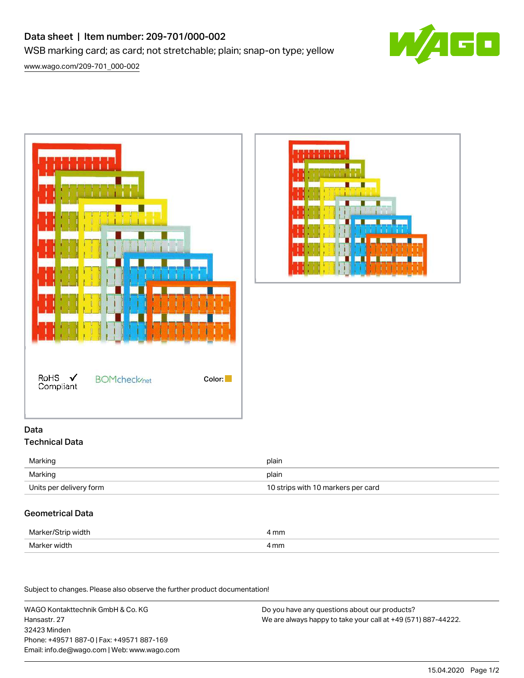# Data sheet | Item number: 209-701/000-002 WSB marking card; as card; not stretchable; plain; snap-on type; yellow



[www.wago.com/209-701\\_000-002](http://www.wago.com/209-701_000-002)





#### Data Technical Data

| Marking                 | plain                              |
|-------------------------|------------------------------------|
| Marking                 | plain                              |
| Units per delivery form | 10 strips with 10 markers per card |

### Geometrical Data

| Marker/Strip width | 4 mm |
|--------------------|------|
| Marker width       | 4 mm |

Subject to changes. Please also observe the further product documentation!

WAGO Kontakttechnik GmbH & Co. KG Hansastr. 27 32423 Minden Phone: +49571 887-0 | Fax: +49571 887-169 Email: info.de@wago.com | Web: www.wago.com

Do you have any questions about our products? We are always happy to take your call at +49 (571) 887-44222.